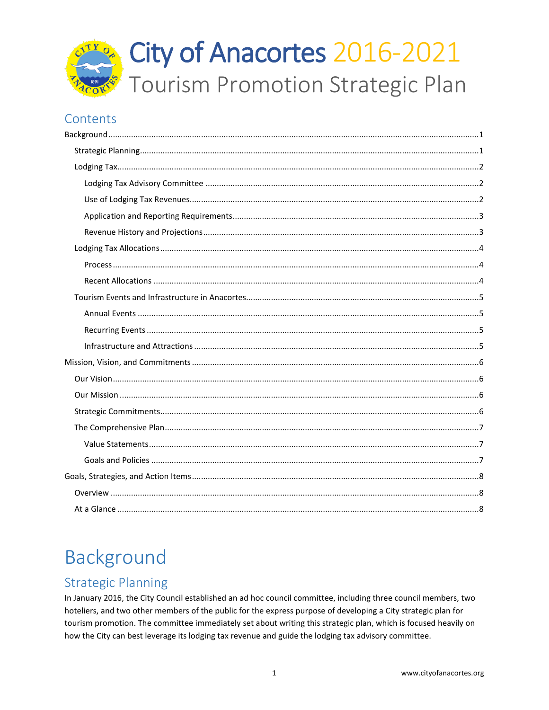

## Contents

# <span id="page-0-0"></span>Background

# <span id="page-0-1"></span>**Strategic Planning**

In January 2016, the City Council established an ad hoc council committee, including three council members, two hoteliers, and two other members of the public for the express purpose of developing a City strategic plan for tourism promotion. The committee immediately set about writing this strategic plan, which is focused heavily on how the City can best leverage its lodging tax revenue and guide the lodging tax advisory committee.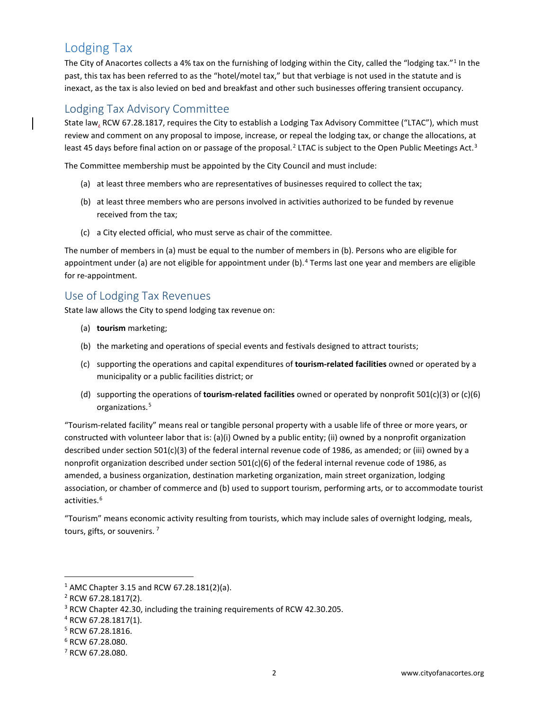# <span id="page-1-0"></span>Lodging Tax

The City of Anacortes collects a 4% tax on the furnishing of lodging within the City, called the "lodging tax."<sup>[1](#page-1-3)</sup> In the past, this tax has been referred to as the "hotel/motel tax," but that verbiage is not used in the statute and is inexact, as the tax is also levied on bed and breakfast and other such businesses offering transient occupancy.

### <span id="page-1-1"></span>Lodging Tax Advisory Committee

State law, RCW 67.28.1817, requires the City to establish a Lodging Tax Advisory Committee ("LTAC"), which must review and comment on any proposal to impose, increase, or repeal the lodging tax, or change the allocations, at least 45 days before final action on or passage of the proposal.<sup>[2](#page-1-4)</sup> LTAC is subject to the Open Public Meetings Act.<sup>[3](#page-1-5)</sup>

The Committee membership must be appointed by the City Council and must include:

- (a) at least three members who are representatives of businesses required to collect the tax;
- (b) at least three members who are persons involved in activities authorized to be funded by revenue received from the tax;
- (c) a City elected official, who must serve as chair of the committee.

The number of members in (a) must be equal to the number of members in (b). Persons who are eligible for appointment under (a) are not eligible for appointment under (b).<sup>[4](#page-1-6)</sup> Terms last one year and members are eligible for re-appointment.

#### <span id="page-1-2"></span>Use of Lodging Tax Revenues

State law allows the City to spend lodging tax revenue on:

- (a) **tourism** marketing;
- (b) the marketing and operations of special events and festivals designed to attract tourists;
- (c) supporting the operations and capital expenditures of **tourism-related facilities** owned or operated by a municipality or a public facilities district; or
- (d) supporting the operations of **tourism-related facilities** owned or operated by nonprofit 501(c)(3) or (c)(6) organizations.<sup>[5](#page-1-7)</sup>

"Tourism-related facility" means real or tangible personal property with a usable life of three or more years, or constructed with volunteer labor that is: (a)(i) Owned by a public entity; (ii) owned by a nonprofit organization described under section 501(c)(3) of the federal internal revenue code of 1986, as amended; or (iii) owned by a nonprofit organization described under section 501(c)(6) of the federal internal revenue code of 1986, as amended, a business organization, destination marketing organization, main street organization, lodging association, or chamber of commerce and (b) used to support tourism, performing arts, or to accommodate tourist activities.<sup>[6](#page-1-8)</sup>

"Tourism" means economic activity resulting from tourists, which may include sales of overnight lodging, meals, tours, gifts, or souvenirs. [7](#page-1-9)

<span id="page-1-3"></span> <sup>1</sup> AMC Chapter 3.15 and RCW 67.28.181(2)(a).

<span id="page-1-4"></span><sup>2</sup> RCW 67.28.1817(2).

<span id="page-1-5"></span><sup>3</sup> RCW Chapter 42.30, including the training requirements of RCW 42.30.205.

<span id="page-1-6"></span><sup>4</sup> RCW 67.28.1817(1).

<span id="page-1-7"></span><sup>5</sup> RCW 67.28.1816.

<span id="page-1-8"></span><sup>6</sup> RCW 67.28.080.

<span id="page-1-9"></span><sup>7</sup> RCW 67.28.080.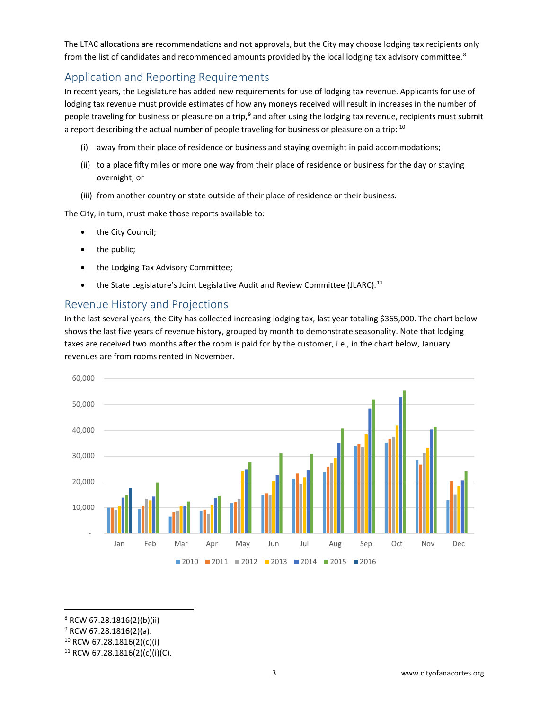The LTAC allocations are recommendations and not approvals, but the City may choose lodging tax recipients only from the list of candidates and recommended amounts provided by the local lodging tax advisory committee.<sup>[8](#page-2-2)</sup>

### <span id="page-2-0"></span>Application and Reporting Requirements

In recent years, the Legislature has added new requirements for use of lodging tax revenue. Applicants for use of lodging tax revenue must provide estimates of how any moneys received will result in increases in the number of people traveling for business or pleasure on a trip,<sup>[9](#page-2-3)</sup> and after using the lodging tax revenue, recipients must submit a report describing the actual number of people traveling for business or pleasure on a trip: [10](#page-2-4)

- (i) away from their place of residence or business and staying overnight in paid accommodations;
- (ii) to a place fifty miles or more one way from their place of residence or business for the day or staying overnight; or
- (iii) from another country or state outside of their place of residence or their business.

The City, in turn, must make those reports available to:

- the City Council;
- the public;
- the Lodging Tax Advisory Committee;
- the State Legislature's Joint Legislative Audit and Review Committee (JLARC).<sup>[11](#page-2-5)</sup>

#### <span id="page-2-1"></span>Revenue History and Projections

In the last several years, the City has collected increasing lodging tax, last year totaling \$365,000. The chart below shows the last five years of revenue history, grouped by month to demonstrate seasonality. Note that lodging taxes are received two months after the room is paid for by the customer, i.e., in the chart below, January revenues are from rooms rented in November.



<span id="page-2-2"></span>8 RCW 67.28.1816(2)(b)(ii)

- <span id="page-2-3"></span><sup>9</sup> RCW 67.28.1816(2)(a).
- <span id="page-2-4"></span> $10$  RCW 67.28.1816(2)(c)(i)

<span id="page-2-5"></span><sup>11</sup> RCW 67.28.1816(2)(c)(i)(C).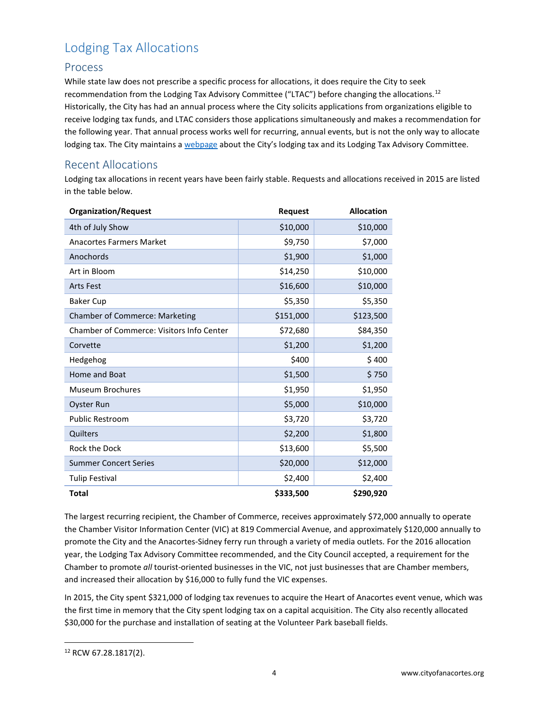# <span id="page-3-0"></span>Lodging Tax Allocations

#### <span id="page-3-1"></span>Process

While state law does not prescribe a specific process for allocations, it does require the City to seek recommendation from the Lodging Tax Advisory Committee ("LTAC") before changing the allocations.[12](#page-3-3) Historically, the City has had an annual process where the City solicits applications from organizations eligible to receive lodging tax funds, and LTAC considers those applications simultaneously and makes a recommendation for the following year. That annual process works well for recurring, annual events, but is not the only way to allocate lodging tax. The City maintains [a webpage](https://www.anacorteswa.gov/558/Lodging-Tax-Advisory-Committee) about the City's lodging tax and its Lodging Tax Advisory Committee.

#### <span id="page-3-2"></span>Recent Allocations

Lodging tax allocations in recent years have been fairly stable. Requests and allocations received in 2015 are listed in the table below.

| <b>Organization/Request</b>               | Request   | <b>Allocation</b> |
|-------------------------------------------|-----------|-------------------|
| 4th of July Show                          | \$10,000  | \$10,000          |
| <b>Anacortes Farmers Market</b>           | \$9,750   | \$7,000           |
| Anochords                                 | \$1,900   | \$1,000           |
| Art in Bloom                              | \$14,250  | \$10,000          |
| <b>Arts Fest</b>                          | \$16,600  | \$10,000          |
| <b>Baker Cup</b>                          | \$5,350   | \$5,350           |
| <b>Chamber of Commerce: Marketing</b>     | \$151,000 | \$123,500         |
| Chamber of Commerce: Visitors Info Center | \$72,680  | \$84,350          |
| Corvette                                  | \$1,200   | \$1,200           |
| Hedgehog                                  | \$400     | \$400             |
| Home and Boat                             | \$1,500   | \$750             |
| Museum Brochures                          | \$1,950   | \$1,950           |
| <b>Oyster Run</b>                         | \$5,000   | \$10,000          |
| <b>Public Restroom</b>                    | \$3,720   | \$3,720           |
| Quilters                                  | \$2,200   | \$1,800           |
| <b>Rock the Dock</b>                      | \$13,600  | \$5,500           |
| <b>Summer Concert Series</b>              | \$20,000  | \$12,000          |
| <b>Tulip Festival</b>                     | \$2,400   | \$2,400           |
| <b>Total</b>                              | \$333,500 | \$290,920         |

The largest recurring recipient, the Chamber of Commerce, receives approximately \$72,000 annually to operate the Chamber Visitor Information Center (VIC) at 819 Commercial Avenue, and approximately \$120,000 annually to promote the City and the Anacortes-Sidney ferry run through a variety of media outlets. For the 2016 allocation year, the Lodging Tax Advisory Committee recommended, and the City Council accepted, a requirement for the Chamber to promote *all* tourist-oriented businesses in the VIC, not just businesses that are Chamber members, and increased their allocation by \$16,000 to fully fund the VIC expenses.

In 2015, the City spent \$321,000 of lodging tax revenues to acquire the Heart of Anacortes event venue, which was the first time in memory that the City spent lodging tax on a capital acquisition. The City also recently allocated \$30,000 for the purchase and installation of seating at the Volunteer Park baseball fields.

<span id="page-3-3"></span> <sup>12</sup> RCW 67.28.1817(2).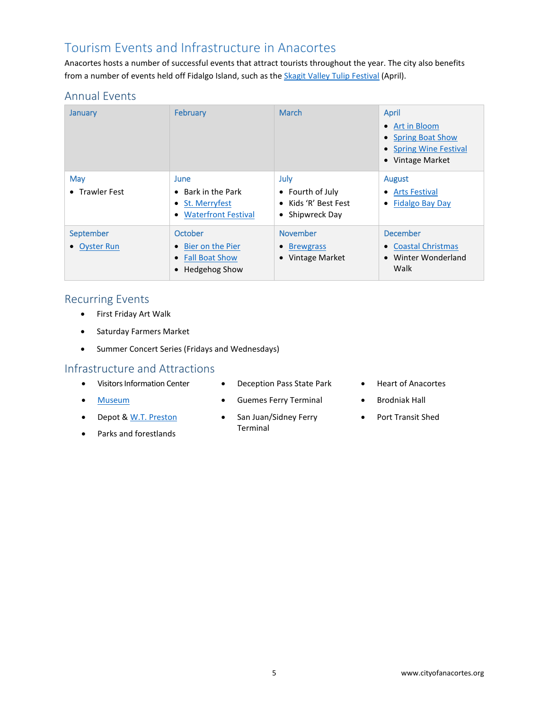## <span id="page-4-0"></span>Tourism Events and Infrastructure in Anacortes

Anacortes hosts a number of successful events that attract tourists throughout the year. The city also benefits from a number of events held off Fidalgo Island, such as the [Skagit Valley Tulip Festival](http://tulipfestival.org/) (April).

### <span id="page-4-1"></span>Annual Events

| January                   | February                                                                              | March                                                                           | <b>April</b><br>Art in Bloom<br>$\bullet$<br>• Spring Boat Show<br>• Spring Wine Festival<br>• Vintage Market |
|---------------------------|---------------------------------------------------------------------------------------|---------------------------------------------------------------------------------|---------------------------------------------------------------------------------------------------------------|
| May<br>• Trawler Fest     | <b>June</b><br>$\bullet$ Bark in the Park<br>• St. Merryfest<br>• Waterfront Festival | <b>July</b><br>• Fourth of July<br>• Kids 'R' Best Fest<br>• Shipwreck Day      | August<br>• Arts Festival<br><b>Fidalgo Bay Day</b><br>$\bullet$                                              |
| September<br>• Oyster Run | October<br>• Bier on the Pier<br>• Fall Boat Show<br>• Hedgehog Show                  | <b>November</b><br><b>Brewgrass</b><br>$\bullet$<br>Vintage Market<br>$\bullet$ | <b>December</b><br>• Coastal Christmas<br>• Winter Wonderland<br>Walk                                         |

#### <span id="page-4-2"></span>Recurring Events

- First Friday Art Walk
- Saturday Farmers Market
- Summer Concert Series (Fridays and Wednesdays)

#### <span id="page-4-3"></span>Infrastructure and Attractions

- Visitors Information Center
- [Museum](http://www.cityofanacortes.org/museum_department.php#.V2O9N4-cGUk)
- Depot & W.T. [Preston](http://www.cityofanacortes.org/maritime_heritage_center_and_wt_preston_sternwheel_steamboat.php#.V2O9Ho-cGUk)
- Parks and forestlands
- Deception Pass State Park
- Guemes Ferry Terminal
- San Juan/Sidney Ferry Terminal
- Heart of Anacortes
- Brodniak Hall
- Port Transit Shed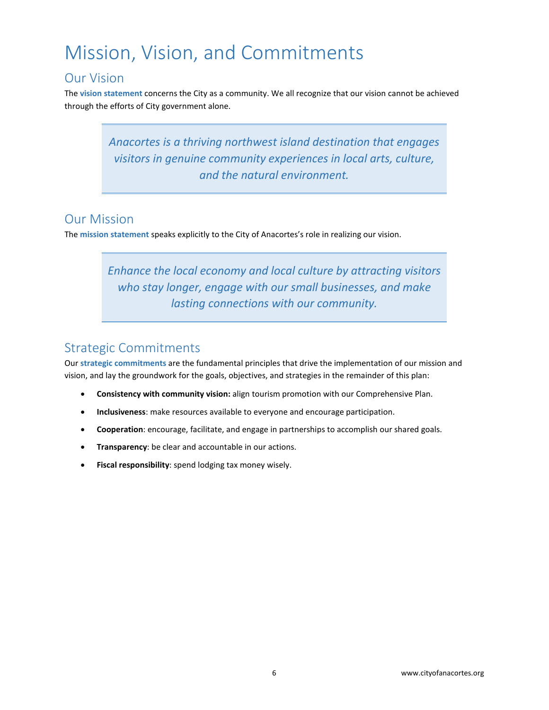# <span id="page-5-0"></span>Mission, Vision, and Commitments

## <span id="page-5-1"></span>Our Vision

The **vision statement** concerns the City as a community. We all recognize that our vision cannot be achieved through the efforts of City government alone.

> *Anacortes is a thriving northwest island destination that engages visitors in genuine community experiences in local arts, culture, and the natural environment.*

## <span id="page-5-2"></span>Our Mission

The **mission statement** speaks explicitly to the City of Anacortes's role in realizing our vision.

*Enhance the local economy and local culture by attracting visitors who stay longer, engage with our small businesses, and make lasting connections with our community.*

## <span id="page-5-3"></span>Strategic Commitments

Our **strategic commitments** are the fundamental principles that drive the implementation of our mission and vision, and lay the groundwork for the goals, objectives, and strategies in the remainder of this plan:

- **Consistency with community vision:** align tourism promotion with our Comprehensive Plan.
- **Inclusiveness**: make resources available to everyone and encourage participation.
- **Cooperation**: encourage, facilitate, and engage in partnerships to accomplish our shared goals.
- **Transparency**: be clear and accountable in our actions.
- **Fiscal responsibility**: spend lodging tax money wisely.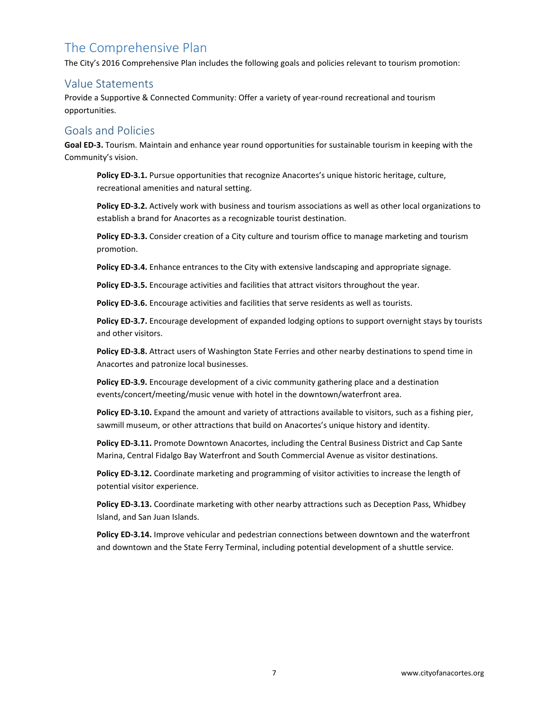# <span id="page-6-0"></span>The Comprehensive Plan

The City's 2016 Comprehensive Plan includes the following goals and policies relevant to tourism promotion:

#### <span id="page-6-1"></span>Value Statements

Provide a Supportive & Connected Community: Offer a variety of year-round recreational and tourism opportunities.

#### <span id="page-6-2"></span>Goals and Policies

**Goal ED-3.** Tourism. Maintain and enhance year round opportunities for sustainable tourism in keeping with the Community's vision.

**Policy ED-3.1.** Pursue opportunities that recognize Anacortes's unique historic heritage, culture, recreational amenities and natural setting.

**Policy ED-3.2.** Actively work with business and tourism associations as well as other local organizations to establish a brand for Anacortes as a recognizable tourist destination.

**Policy ED-3.3.** Consider creation of a City culture and tourism office to manage marketing and tourism promotion.

**Policy ED-3.4.** Enhance entrances to the City with extensive landscaping and appropriate signage.

**Policy ED-3.5.** Encourage activities and facilities that attract visitors throughout the year.

**Policy ED-3.6.** Encourage activities and facilities that serve residents as well as tourists.

**Policy ED-3.7.** Encourage development of expanded lodging options to support overnight stays by tourists and other visitors.

**Policy ED-3.8.** Attract users of Washington State Ferries and other nearby destinations to spend time in Anacortes and patronize local businesses.

**Policy ED-3.9.** Encourage development of a civic community gathering place and a destination events/concert/meeting/music venue with hotel in the downtown/waterfront area.

**Policy ED-3.10.** Expand the amount and variety of attractions available to visitors, such as a fishing pier, sawmill museum, or other attractions that build on Anacortes's unique history and identity.

Policy ED-3.11. Promote Downtown Anacortes, including the Central Business District and Cap Sante Marina, Central Fidalgo Bay Waterfront and South Commercial Avenue as visitor destinations.

**Policy ED-3.12.** Coordinate marketing and programming of visitor activities to increase the length of potential visitor experience.

**Policy ED-3.13.** Coordinate marketing with other nearby attractions such as Deception Pass, Whidbey Island, and San Juan Islands.

**Policy ED-3.14.** Improve vehicular and pedestrian connections between downtown and the waterfront and downtown and the State Ferry Terminal, including potential development of a shuttle service.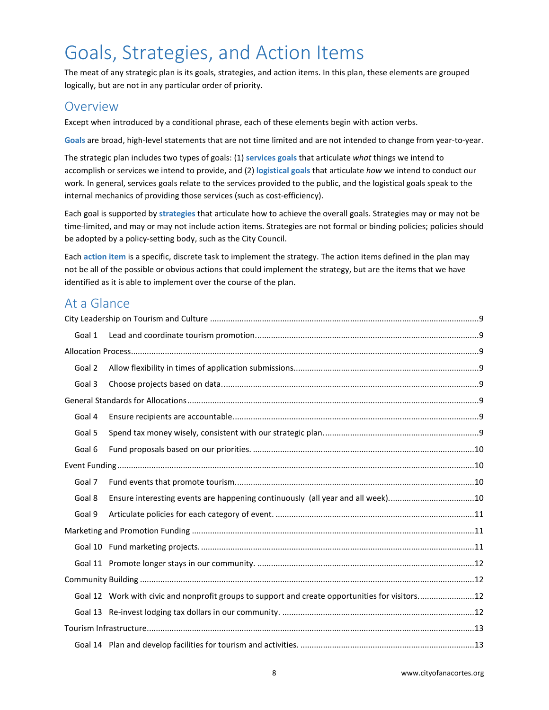# <span id="page-7-0"></span>Goals, Strategies, and Action Items

The meat of any strategic plan is its goals, strategies, and action items. In this plan, these elements are grouped logically, but are not in any particular order of priority.

#### <span id="page-7-1"></span>Overview

Except when introduced by a conditional phrase, each of these elements begin with action verbs.

**Goals** are broad, high-level statements that are not time limited and are not intended to change from year-to-year.

The strategic plan includes two types of goals: (1) **services goals** that articulate *what* things we intend to accomplish or services we intend to provide, and (2) **logistical goals** that articulate *how* we intend to conduct our work. In general, services goals relate to the services provided to the public, and the logistical goals speak to the internal mechanics of providing those services (such as cost-efficiency).

Each goal is supported by **strategies** that articulate how to achieve the overall goals. Strategies may or may not be time-limited, and may or may not include action items. Strategies are not formal or binding policies; policies should be adopted by a policy-setting body, such as the City Council.

Each **action item** is a specific, discrete task to implement the strategy. The action items defined in the plan may not be all of the possible or obvious actions that could implement the strategy, but are the items that we have identified as it is able to implement over the course of the plan.

### <span id="page-7-2"></span>At a Glance

| Goal 1 |                                                                                                 |  |
|--------|-------------------------------------------------------------------------------------------------|--|
|        |                                                                                                 |  |
| Goal 2 |                                                                                                 |  |
| Goal 3 |                                                                                                 |  |
|        |                                                                                                 |  |
| Goal 4 |                                                                                                 |  |
| Goal 5 |                                                                                                 |  |
| Goal 6 |                                                                                                 |  |
|        |                                                                                                 |  |
| Goal 7 |                                                                                                 |  |
| Goal 8 | Ensure interesting events are happening continuously (all year and all week)10                  |  |
| Goal 9 |                                                                                                 |  |
|        |                                                                                                 |  |
|        |                                                                                                 |  |
|        |                                                                                                 |  |
|        |                                                                                                 |  |
|        | Goal 12 Work with civic and nonprofit groups to support and create opportunities for visitors12 |  |
|        |                                                                                                 |  |
|        |                                                                                                 |  |
|        |                                                                                                 |  |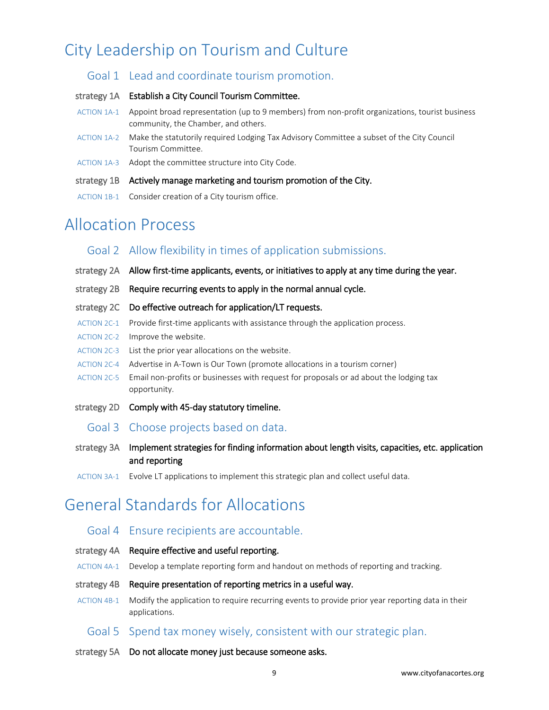# <span id="page-8-1"></span><span id="page-8-0"></span>City Leadership on Tourism and Culture

#### Goal 1 Lead and coordinate tourism promotion.

#### strategy 1A Establish a City Council Tourism Committee.

- ACTION 1A-1 Appoint broad representation (up to 9 members) from non-profit organizations, tourist business community, the Chamber, and others.
- ACTION 1A-2 Make the statutorily required Lodging Tax Advisory Committee a subset of the City Council Tourism Committee.
- ACTION 1A-3 Adopt the committee structure into City Code.
- strategy 1B Actively manage marketing and tourism promotion of the City.
- ACTION 1B-1 Consider creation of a City tourism office.

# <span id="page-8-3"></span><span id="page-8-2"></span>Allocation Process

#### Goal 2 Allow flexibility in times of application submissions.

- strategy 2A Allow first-time applicants, events, or initiatives to apply at any time during the year.
- strategy 2B Require recurring events to apply in the normal annual cycle.
- strategy 2C Do effective outreach for application/LT requests.
- ACTION 2C-1 Provide first-time applicants with assistance through the application process.
- ACTION 2C-2 Improve the website.
- ACTION 2C-3 List the prior year allocations on the website.
- ACTION 2C-4 Advertise in A-Town is Our Town (promote allocations in a tourism corner)
- ACTION 2C-5 Email non-profits or businesses with request for proposals or ad about the lodging tax opportunity.
- <span id="page-8-4"></span>strategy 2D Comply with 45-day statutory timeline.
	- Goal 3 Choose projects based on data.
- strategy 3A Implement strategies for finding information about length visits, capacities, etc. application and reporting
- ACTION 3A-1 Evolve LT applications to implement this strategic plan and collect useful data.

# <span id="page-8-6"></span><span id="page-8-5"></span>General Standards for Allocations

#### Goal 4 Ensure recipients are accountable.

- strategy 4A Require effective and useful reporting.
- ACTION 4A-1 Develop a template reporting form and handout on methods of reporting and tracking.

#### strategy 4B Require presentation of reporting metrics in a useful way.

ACTION 4B-1 Modify the application to require recurring events to provide prior year reporting data in their applications.

#### <span id="page-8-7"></span>Goal 5 Spend tax money wisely, consistent with our strategic plan.

strategy 5A Do not allocate money just because someone asks.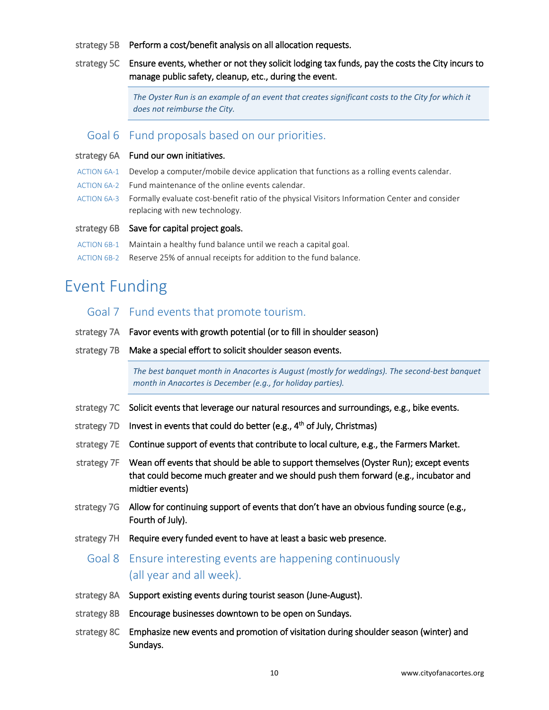- strategy 5B Perform a cost/benefit analysis on all allocation requests.
- strategy 5C Ensure events, whether or not they solicit lodging tax funds, pay the costs the City incurs to manage public safety, cleanup, etc., during the event.

*The Oyster Run is an example of an event that creates significant costs to the City for which it does not reimburse the City.*

#### <span id="page-9-0"></span>Goal 6 Fund proposals based on our priorities.

#### strategy 6A Fund our own initiatives.

- ACTION 6A-1 Develop a computer/mobile device application that functions as a rolling events calendar.
- ACTION 6A-2 Fund maintenance of the online events calendar.
- ACTION 6A-3 Formally evaluate cost-benefit ratio of the physical Visitors Information Center and consider replacing with new technology.

#### strategy 6B Save for capital project goals.

- ACTION 6B-1 Maintain a healthy fund balance until we reach a capital goal.
- ACTION 6B-2 Reserve 25% of annual receipts for addition to the fund balance.

# <span id="page-9-2"></span><span id="page-9-1"></span>Event Funding

#### Goal 7 Fund events that promote tourism.

- strategy 7A Favor events with growth potential (or to fill in shoulder season)
- strategy 7B Make a special effort to solicit shoulder season events.

*The best banquet month in Anacortes is August (mostly for weddings). The second-best banquet month in Anacortes is December (e.g., for holiday parties).*

- strategy 7C Solicit events that leverage our natural resources and surroundings, e.g., bike events.
- strategy 7D Invest in events that could do better (e.g.,  $4<sup>th</sup>$  of July, Christmas)
- strategy 7E Continue support of events that contribute to local culture, e.g., the Farmers Market.
- strategy 7F Wean off events that should be able to support themselves (Oyster Run); except events that could become much greater and we should push them forward (e.g., incubator and midtier events)
- strategy 7G Allow for continuing support of events that don't have an obvious funding source (e.g., Fourth of July).
- <span id="page-9-3"></span>strategy 7H Require every funded event to have at least a basic web presence.

### Goal 8 Ensure interesting events are happening continuously (all year and all week).

- strategy 8A Support existing events during tourist season (June-August).
- strategy 8B Encourage businesses downtown to be open on Sundays.
- strategy 8C Emphasize new events and promotion of visitation during shoulder season (winter) and Sundays.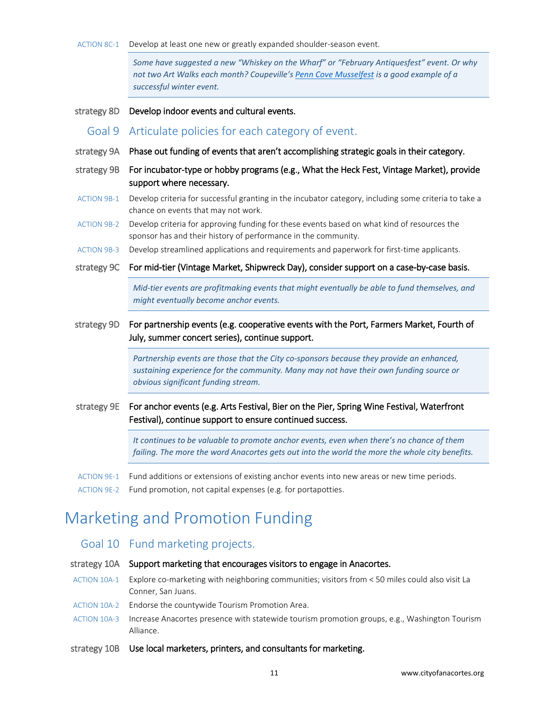ACTION 8C-1 Develop at least one new or greatly expanded shoulder-season event.

*Some have suggested a new "Whiskey on the Wharf" or "February Antiquesfest" event. Or why not two Art Walks each month? Coupeville'[s Penn Cove Musselfest](http://thepenncovemusselsfestival.com/) is a good example of a successful winter event.* 

<span id="page-10-0"></span>strategy 8D Develop indoor events and cultural events.

- Goal 9 Articulate policies for each category of event.
- strategy 9A Phase out funding of events that aren't accomplishing strategic goals in their category.
- strategy 9B For incubator-type or hobby programs (e.g., What the Heck Fest, Vintage Market), provide support where necessary.
- ACTION 9B-1 Develop criteria for successful granting in the incubator category, including some criteria to take a chance on events that may not work.
- ACTION 9B-2 Develop criteria for approving funding for these events based on what kind of resources the sponsor has and their history of performance in the community.
- ACTION 9B-3 Develop streamlined applications and requirements and paperwork for first-time applicants.
- strategy 9C For mid-tier (Vintage Market, Shipwreck Day), consider support on a case-by-case basis.

*Mid-tier events are profitmaking events that might eventually be able to fund themselves, and might eventually become anchor events.*

strategy 9D For partnership events (e.g. cooperative events with the Port, Farmers Market, Fourth of July, summer concert series), continue support.

> *Partnership events are those that the City co-sponsors because they provide an enhanced, sustaining experience for the community. Many may not have their own funding source or obvious significant funding stream.*

strategy 9E For anchor events (e.g. Arts Festival, Bier on the Pier, Spring Wine Festival, Waterfront Festival), continue support to ensure continued success.

> *It continues to be valuable to promote anchor events, even when there's no chance of them*  failing. The more the word Anacortes gets out into the world the more the whole city benefits.

- ACTION 9E-1 Fund additions or extensions of existing anchor events into new areas or new time periods.
- ACTION 9E-2 Fund promotion, not capital expenses (e.g. for portapotties.

# <span id="page-10-1"></span>Marketing and Promotion Funding

#### <span id="page-10-2"></span>Goal 10 Fund marketing projects.

#### strategy 10A Support marketing that encourages visitors to engage in Anacortes.

- ACTION 10A-1 Explore co-marketing with neighboring communities; visitors from < 50 miles could also visit La Conner, San Juans.
- ACTION 10A-2 Endorse the countywide Tourism Promotion Area.
- ACTION 10A-3 Increase Anacortes presence with statewide tourism promotion groups, e.g., Washington Tourism Alliance.
- strategy 10B Use local marketers, printers, and consultants for marketing.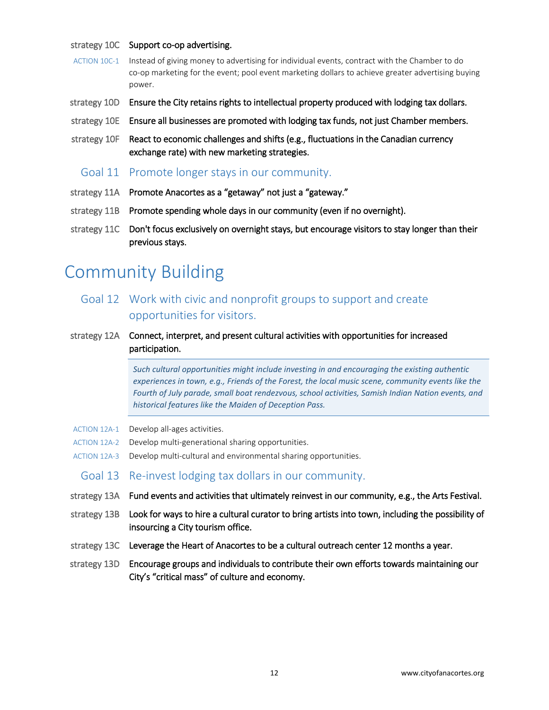#### strategy 10C Support co-op advertising.

- ACTION 10C-1 Instead of giving money to advertising for individual events, contract with the Chamber to do co-op marketing for the event; pool event marketing dollars to achieve greater advertising buying power.
- strategy 10D Ensure the City retains rights to intellectual property produced with lodging tax dollars.
- strategy 10E Ensure all businesses are promoted with lodging tax funds, not just Chamber members.
- strategy 10F React to economic challenges and shifts (e.g., fluctuations in the Canadian currency exchange rate) with new marketing strategies.
	- Goal 11 Promote longer stays in our community.
- <span id="page-11-0"></span>strategy 11A Promote Anacortes as a "getaway" not just a "gateway."
- strategy 11B Promote spending whole days in our community (even if no overnight).
- strategy 11C Don't focus exclusively on overnight stays, but encourage visitors to stay longer than their previous stays.

# <span id="page-11-1"></span>Community Building

- <span id="page-11-2"></span>Goal 12 Work with civic and nonprofit groups to support and create opportunities for visitors.
- strategy 12A Connect, interpret, and present cultural activities with opportunities for increased participation.

*Such cultural opportunities might include investing in and encouraging the existing authentic experiences in town, e.g., Friends of the Forest, the local music scene, community events like the Fourth of July parade, small boat rendezvous, school activities, Samish Indian Nation events, and historical features like the Maiden of Deception Pass.* 

- ACTION 12A-1 Develop all-ages activities.
- ACTION 12A-2 Develop multi-generational sharing opportunities.
- <span id="page-11-3"></span>ACTION 12A-3 Develop multi-cultural and environmental sharing opportunities.
- Goal 13 Re-invest lodging tax dollars in our community.
- strategy 13A Fund events and activities that ultimately reinvest in our community, e.g., the Arts Festival.
- strategy 13B Look for ways to hire a cultural curator to bring artists into town, including the possibility of insourcing a City tourism office.
- strategy 13C Leverage the Heart of Anacortes to be a cultural outreach center 12 months a year.
- strategy 13D Encourage groups and individuals to contribute their own efforts towards maintaining our City's "critical mass" of culture and economy.